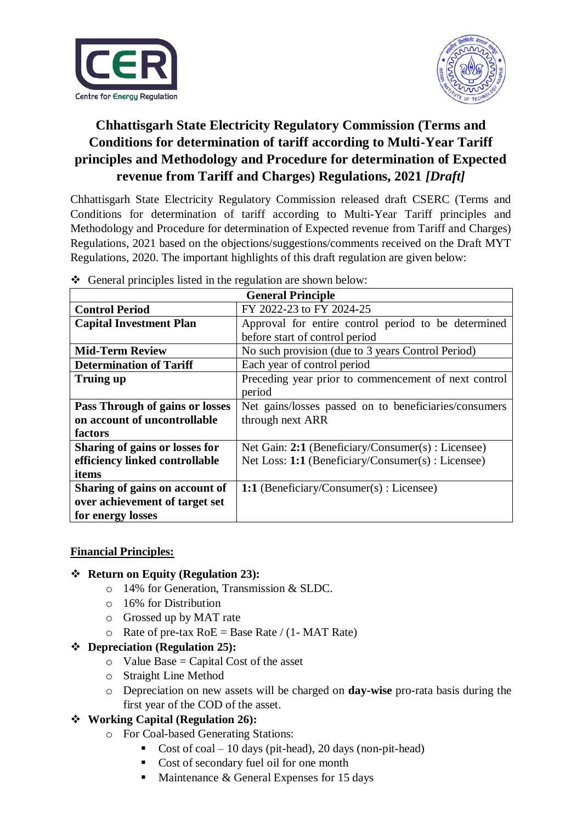



## **Chhattisgarh State Electricity Regulatory Commission (Terms and Conditions for determination of tariff according to Multi-Year Tariff principles and Methodology and Procedure for determination of Expected revenue from Tariff and Charges) Regulations, 2021** *[Draft]*

Chhattisgarh State Electricity Regulatory Commission released draft CSERC (Terms and Conditions for determination of tariff according to Multi-Year Tariff principles and Methodology and Procedure for determination of Expected revenue from Tariff and Charges) Regulations, 2021 based on the objections/suggestions/comments received on the Draft MYT Regulations, 2020. The important highlights of this draft regulation are given below:

| <b>General Principle</b>        |                                                       |  |
|---------------------------------|-------------------------------------------------------|--|
| <b>Control Period</b>           | FY 2022-23 to FY 2024-25                              |  |
| <b>Capital Investment Plan</b>  | Approval for entire control period to be determined   |  |
|                                 | before start of control period                        |  |
| <b>Mid-Term Review</b>          | No such provision (due to 3 years Control Period)     |  |
| <b>Determination of Tariff</b>  | Each year of control period                           |  |
| Truing up                       | Preceding year prior to commencement of next control  |  |
|                                 | period                                                |  |
| Pass Through of gains or losses | Net gains/losses passed on to beneficiaries/consumers |  |
| on account of uncontrollable    | through next ARR                                      |  |
| factors                         |                                                       |  |
| Sharing of gains or losses for  | Net Gain: 2:1 (Beneficiary/Consumer(s) : Licensee)    |  |
| efficiency linked controllable  | Net Loss: 1:1 (Beneficiary/Consumer(s) : Licensee)    |  |
| items                           |                                                       |  |
| Sharing of gains on account of  | 1:1 (Beneficiary/Consumer(s) : Licensee)              |  |
| over achievement of target set  |                                                       |  |
| for energy losses               |                                                       |  |

General principles listed in the regulation are shown below:

### **Financial Principles:**

### **Return on Equity (Regulation 23):**

- o 14% for Generation, Transmission & SLDC.
- o 16% for Distribution
- o Grossed up by MAT rate
- $\circ$  Rate of pre-tax RoE = Base Rate / (1- MAT Rate)

### **Depreciation (Regulation 25):**

- $\circ$  Value Base = Capital Cost of the asset
- o Straight Line Method
- o Depreciation on new assets will be charged on **day-wise** pro-rata basis during the first year of the COD of the asset.

### **Working Capital (Regulation 26):**

- o For Coal-based Generating Stations:
	- Cost of  $coal 10$  days (pit-head), 20 days (non-pit-head)
	- Cost of secondary fuel oil for one month
	- $\blacksquare$  Maintenance & General Expenses for 15 days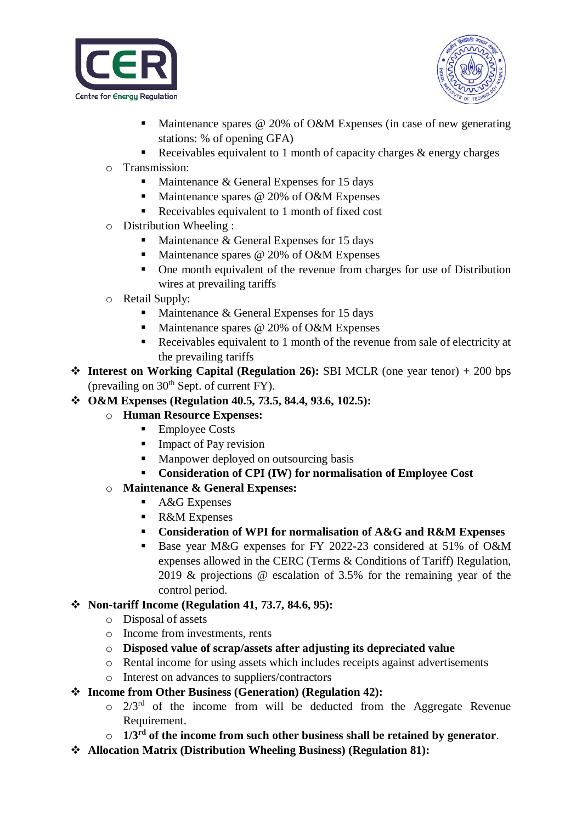



- Maintenance spares @ 20% of O&M Expenses (in case of new generating stations: % of opening GFA)
- Receivables equivalent to 1 month of capacity charges  $\&$  energy charges
- o Transmission:
	- $\blacksquare$  Maintenance & General Expenses for 15 days
	- Maintenance spares  $@$  20% of O&M Expenses
	- Receivables equivalent to 1 month of fixed cost
- o Distribution Wheeling :
	- Maintenance  $&$  General Expenses for 15 days
	- Maintenance spares  $@$  20% of O&M Expenses
	- One month equivalent of the revenue from charges for use of Distribution wires at prevailing tariffs
- o Retail Supply:
	- $\blacksquare$  Maintenance & General Expenses for 15 days
	- Maintenance spares @ 20% of O&M Expenses
	- Receivables equivalent to 1 month of the revenue from sale of electricity at the prevailing tariffs
- **Interest on Working Capital (Regulation 26):** SBI MCLR (one year tenor) + 200 bps (prevailing on  $30<sup>th</sup>$  Sept. of current FY).
- **O&M Expenses (Regulation 40.5, 73.5, 84.4, 93.6, 102.5):**
	- o **Human Resource Expenses:** 
		- Employee Costs
		- **Impact of Pay revision**
		- **Manpower deployed on outsourcing basis**
		- **Consideration of CPI (IW) for normalisation of Employee Cost**
	- o **Maintenance & General Expenses:**
		- A&G Expenses
		- R&M Expenses
		- **Consideration of WPI for normalisation of A&G and R&M Expenses**
		- Base year M&G expenses for FY 2022-23 considered at 51% of O&M expenses allowed in the CERC (Terms & Conditions of Tariff) Regulation, 2019 & projections @ escalation of 3.5% for the remaining year of the control period.

## **Non-tariff Income (Regulation 41, 73.7, 84.6, 95):**

- o Disposal of assets
- o Income from investments, rents
- o **Disposed value of scrap/assets after adjusting its depreciated value**
- o Rental income for using assets which includes receipts against advertisements
- o Interest on advances to suppliers/contractors
- **Income from Other Business (Generation) (Regulation 42):** 
	- $\circ$  2/3<sup>rd</sup> of the income from will be deducted from the Aggregate Revenue Requirement.
	- o **1/3rd of the income from such other business shall be retained by generator**.
- **Allocation Matrix (Distribution Wheeling Business) (Regulation 81):**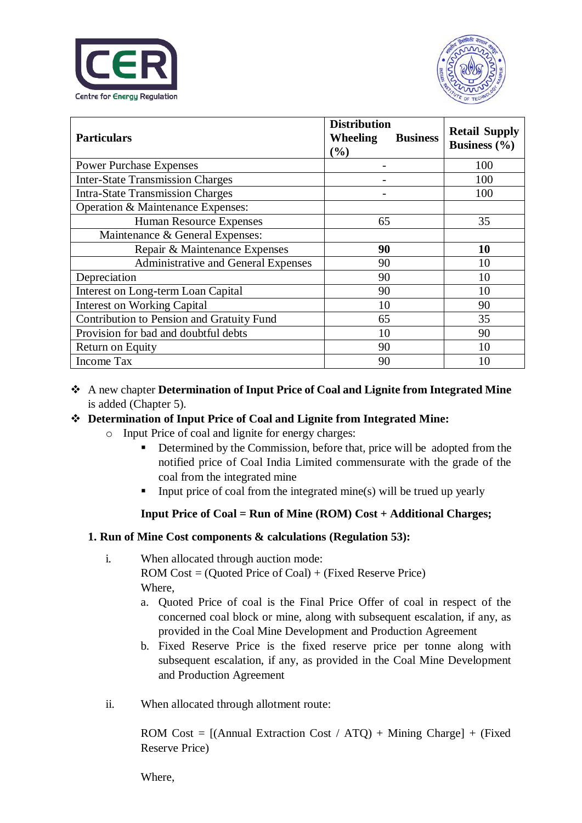



| <b>Particulars</b>                        | <b>Distribution</b><br>Wheeling<br><b>Business</b><br>(%) | <b>Retail Supply</b><br><b>Business</b> (%) |
|-------------------------------------------|-----------------------------------------------------------|---------------------------------------------|
| <b>Power Purchase Expenses</b>            |                                                           |                                             |
| <b>Inter-State Transmission Charges</b>   |                                                           | 100                                         |
| <b>Intra-State Transmission Charges</b>   |                                                           | 100                                         |
| Operation & Maintenance Expenses:         |                                                           |                                             |
| <b>Human Resource Expenses</b>            | 65                                                        | 35                                          |
| Maintenance & General Expenses:           |                                                           |                                             |
| Repair & Maintenance Expenses             | 90                                                        | 10                                          |
| Administrative and General Expenses       | 90                                                        | 10                                          |
| Depreciation                              | 90                                                        | 10                                          |
| Interest on Long-term Loan Capital        | 90                                                        | 10                                          |
| <b>Interest on Working Capital</b>        | 10                                                        | 90                                          |
| Contribution to Pension and Gratuity Fund | 65                                                        | 35                                          |
| Provision for bad and doubtful debts      | 10                                                        | 90                                          |
| Return on Equity                          | 90                                                        | 10                                          |
| Income Tax                                | 90                                                        | 10                                          |

 A new chapter **Determination of Input Price of Coal and Lignite from Integrated Mine**  is added (Chapter 5).

## **Determination of Input Price of Coal and Lignite from Integrated Mine:**

- o Input Price of coal and lignite for energy charges:
	- Determined by the Commission, before that, price will be adopted from the notified price of Coal India Limited commensurate with the grade of the coal from the integrated mine
	- Input price of coal from the integrated mine(s) will be trued up yearly

## **Input Price of Coal = Run of Mine (ROM) Cost + Additional Charges;**

### **1. Run of Mine Cost components & calculations (Regulation 53):**

- i. When allocated through auction mode: ROM Cost = (Quoted Price of Coal) + (Fixed Reserve Price) Where,
	- a. Quoted Price of coal is the Final Price Offer of coal in respect of the concerned coal block or mine, along with subsequent escalation, if any, as provided in the Coal Mine Development and Production Agreement
	- b. Fixed Reserve Price is the fixed reserve price per tonne along with subsequent escalation, if any, as provided in the Coal Mine Development and Production Agreement
- ii. When allocated through allotment route:

ROM Cost =  $[(\text{Annual Extraction Cost } / \text{ATQ}) + \text{Mining Charge}] + (\text{Fixed})$ Reserve Price)

Where,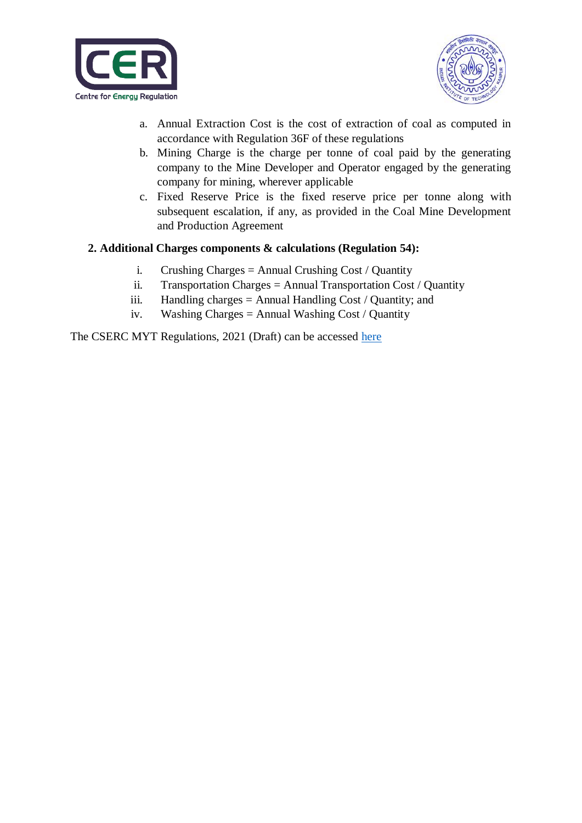



- a. Annual Extraction Cost is the cost of extraction of coal as computed in accordance with Regulation 36F of these regulations
- b. Mining Charge is the charge per tonne of coal paid by the generating company to the Mine Developer and Operator engaged by the generating company for mining, wherever applicable
- c. Fixed Reserve Price is the fixed reserve price per tonne along with subsequent escalation, if any, as provided in the Coal Mine Development and Production Agreement

### **2. Additional Charges components & calculations (Regulation 54):**

- i. Crushing Charges = Annual Crushing Cost / Quantity
- ii. Transportation Charges = Annual Transportation Cost / Quantity
- iii. Handling charges = Annual Handling Cost / Quantity; and
- iv. Washing Charges = Annual Washing Cost / Quantity

The CSERC MYT Regulations, 2021 (Draft) can be accessed [here](https://cer.iitk.ac.in/odf_assets/upload_files/Draft_CSERC_MYT_2021.pdf)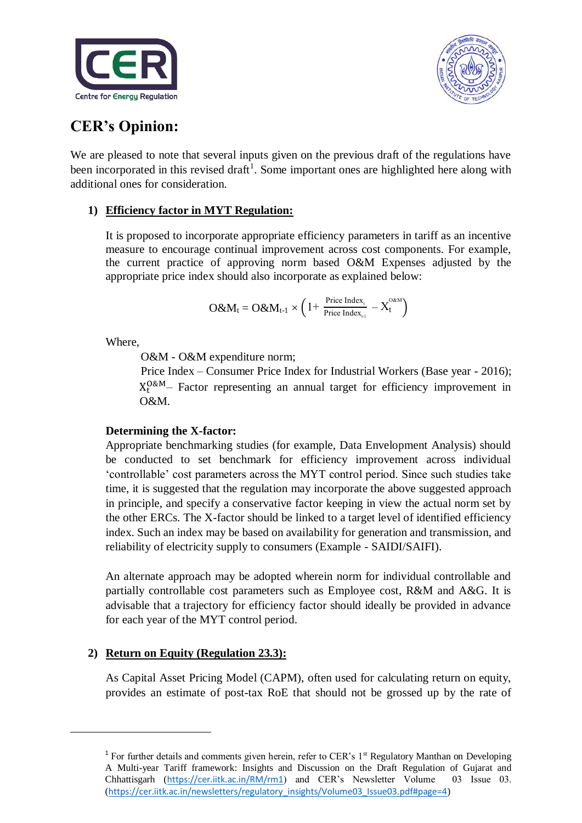



# **CER's Opinion:**

We are pleased to note that several inputs given on the previous draft of the regulations have been incorporated in this revised draft<sup>1</sup>. Some important ones are highlighted here along with additional ones for consideration.

## **1) Efficiency factor in MYT Regulation:**

It is proposed to incorporate appropriate efficiency parameters in tariff as an incentive measure to encourage continual improvement across cost components. For example, the current practice of approving norm based O&M Expenses adjusted by the appropriate price index should also incorporate as explained below:

$$
O\&M_t=O\&M_{t\text{-}1}\times\left(1+\left.\tfrac{\text{Price Index}_{\tau}}{\text{Price Index}_{\text{\tiny t-1}}}-X_t^{\text{OAM}}\right.\right)
$$

Where,

**.** 

O&M - O&M expenditure norm;

Price Index – Consumer Price Index for Industrial Workers (Base year - 2016);  $X_t^{O\&M}$  Factor representing an annual target for efficiency improvement in O&M.

### **Determining the X-factor:**

Appropriate benchmarking studies (for example, Data Envelopment Analysis) should be conducted to set benchmark for efficiency improvement across individual 'controllable' cost parameters across the MYT control period. Since such studies take time, it is suggested that the regulation may incorporate the above suggested approach in principle, and specify a conservative factor keeping in view the actual norm set by the other ERCs. The X-factor should be linked to a target level of identified efficiency index. Such an index may be based on availability for generation and transmission, and reliability of electricity supply to consumers (Example - SAIDI/SAIFI).

An alternate approach may be adopted wherein norm for individual controllable and partially controllable cost parameters such as Employee cost, R&M and A&G. It is advisable that a trajectory for efficiency factor should ideally be provided in advance for each year of the MYT control period.

## **2) Return on Equity (Regulation 23.3):**

As Capital Asset Pricing Model (CAPM), often used for calculating return on equity, provides an estimate of post-tax RoE that should not be grossed up by the rate of

<sup>&</sup>lt;sup>1</sup> For further details and comments given herein, refer to CER's 1<sup>st</sup> Regulatory Manthan on Developing A Multi-year Tariff framework: Insights and Discussion on the Draft Regulation of Gujarat and Chhattisgarh (<https://cer.iitk.ac.in/RM/rm1>) and CER's Newsletter Volume 03 Issue 03. ([https://cer.iitk.ac.in/newsletters/regulatory\\_insights/Volume03\\_Issue03.pdf#page=4](https://cer.iitk.ac.in/newsletters/regulatory_insights/Volume03_Issue03.pdf#page=4))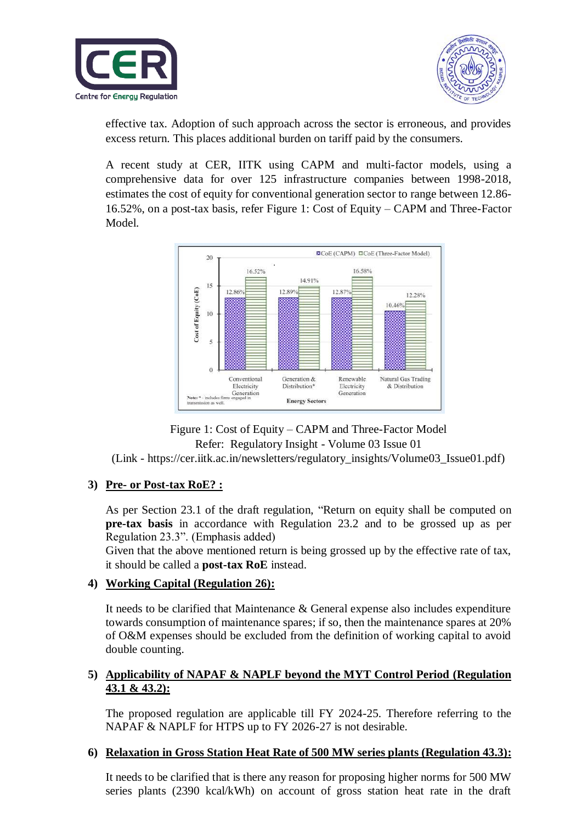



effective tax. Adoption of such approach across the sector is erroneous, and provides excess return. This places additional burden on tariff paid by the consumers.

A recent study at CER, IITK using CAPM and multi-factor models, using a comprehensive data for over 125 infrastructure companies between 1998-2018, estimates the cost of equity for conventional generation sector to range between 12.86- 16.52%, on a post-tax basis, refer Figure 1: Cost of Equity – CAPM and Three-Factor Model.



Figure 1: Cost of Equity – CAPM and Three-Factor Model Refer: Regulatory Insight - Volume 03 Issue 01

(Link - [https://cer.iitk.ac.in/newsletters/regulatory\\_insights/Volume03\\_Issue01.pdf\)](https://cer.iitk.ac.in/newsletters/regulatory_insights/Volume03_Issue01.pdf)

### **3) Pre- or Post-tax RoE? :**

As per Section 23.1 of the draft regulation, "Return on equity shall be computed on **pre-tax basis** in accordance with Regulation 23.2 and to be grossed up as per Regulation 23.3". (Emphasis added)

Given that the above mentioned return is being grossed up by the effective rate of tax, it should be called a **post-tax RoE** instead.

### **4) Working Capital (Regulation 26):**

It needs to be clarified that Maintenance & General expense also includes expenditure towards consumption of maintenance spares; if so, then the maintenance spares at 20% of O&M expenses should be excluded from the definition of working capital to avoid double counting.

### **5) Applicability of NAPAF & NAPLF beyond the MYT Control Period (Regulation 43.1 & 43.2):**

The proposed regulation are applicable till FY 2024-25. Therefore referring to the NAPAF & NAPLF for HTPS up to FY 2026-27 is not desirable.

### **6) Relaxation in Gross Station Heat Rate of 500 MW series plants (Regulation 43.3):**

It needs to be clarified that is there any reason for proposing higher norms for 500 MW series plants (2390 kcal/kWh) on account of gross station heat rate in the draft